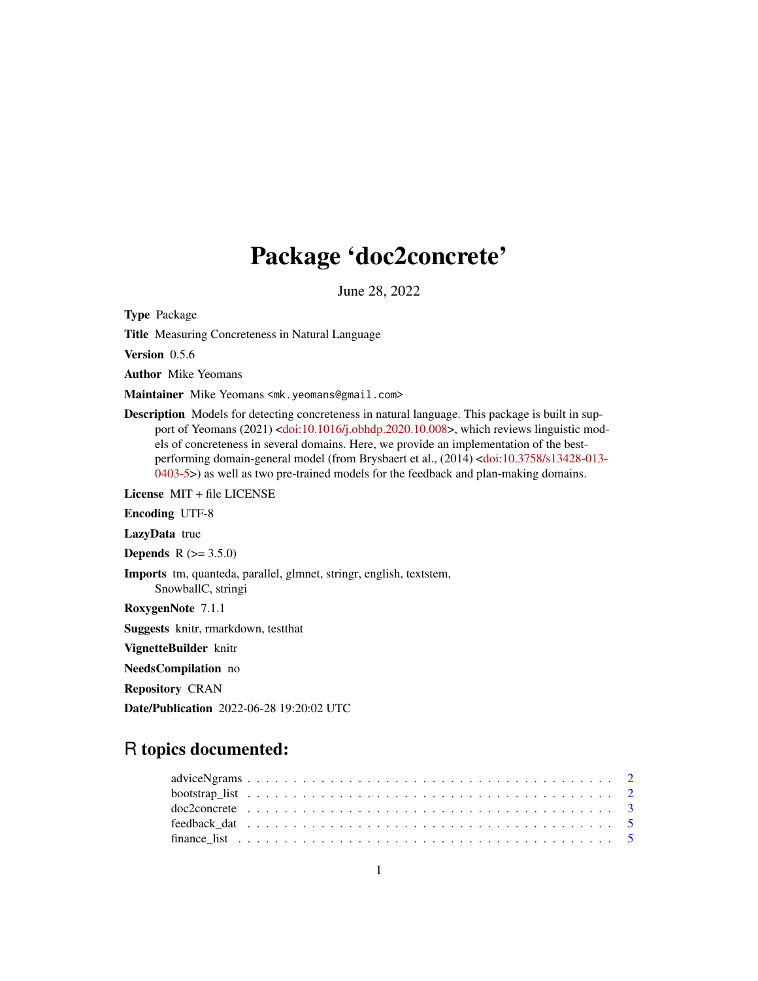## Package 'doc2concrete'

June 28, 2022

Type Package

Title Measuring Concreteness in Natural Language

Version 0.5.6

Author Mike Yeomans

Maintainer Mike Yeomans <mk.yeomans@gmail.com>

Description Models for detecting concreteness in natural language. This package is built in sup-port of Yeomans (2021) [<doi:10.1016/j.obhdp.2020.10.008>](https://doi.org/10.1016/j.obhdp.2020.10.008), which reviews linguistic models of concreteness in several domains. Here, we provide an implementation of the bestperforming domain-general model (from Brysbaert et al., (2014) [<doi:10.3758/s13428-013-](https://doi.org/10.3758/s13428-013-0403-5) [0403-5>](https://doi.org/10.3758/s13428-013-0403-5)) as well as two pre-trained models for the feedback and plan-making domains.

License MIT + file LICENSE

Encoding UTF-8

LazyData true

**Depends**  $R (= 3.5.0)$ 

Imports tm, quanteda, parallel, glmnet, stringr, english, textstem, SnowballC, stringi

RoxygenNote 7.1.1

Suggests knitr, rmarkdown, testthat

VignetteBuilder knitr

NeedsCompilation no

Repository CRAN

Date/Publication 2022-06-28 19:20:02 UTC

### R topics documented: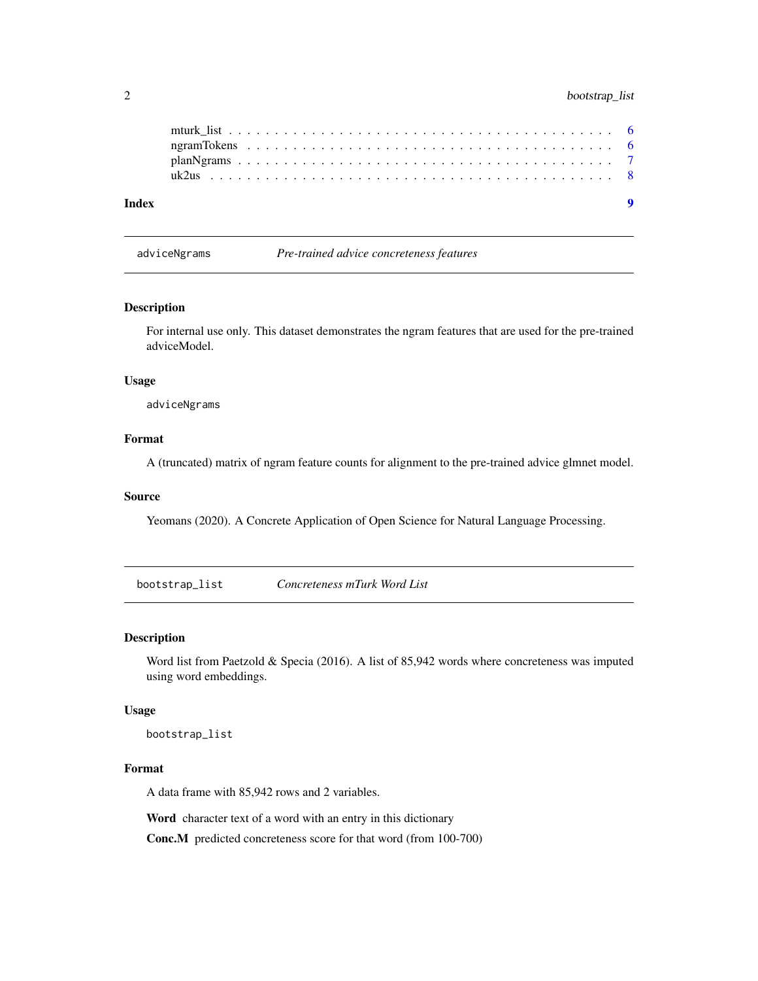<span id="page-1-0"></span>

| Index |  |  |  |  |  |  |  |  |  |  |  |  |  |  |  |  |  |  |  |  |
|-------|--|--|--|--|--|--|--|--|--|--|--|--|--|--|--|--|--|--|--|--|
|       |  |  |  |  |  |  |  |  |  |  |  |  |  |  |  |  |  |  |  |  |
|       |  |  |  |  |  |  |  |  |  |  |  |  |  |  |  |  |  |  |  |  |
|       |  |  |  |  |  |  |  |  |  |  |  |  |  |  |  |  |  |  |  |  |
|       |  |  |  |  |  |  |  |  |  |  |  |  |  |  |  |  |  |  |  |  |

adviceNgrams *Pre-trained advice concreteness features*

#### Description

For internal use only. This dataset demonstrates the ngram features that are used for the pre-trained adviceModel.

#### Usage

adviceNgrams

#### Format

A (truncated) matrix of ngram feature counts for alignment to the pre-trained advice glmnet model.

#### Source

Yeomans (2020). A Concrete Application of Open Science for Natural Language Processing.

bootstrap\_list *Concreteness mTurk Word List*

#### Description

Word list from Paetzold & Specia (2016). A list of 85,942 words where concreteness was imputed using word embeddings.

#### Usage

bootstrap\_list

#### Format

A data frame with 85,942 rows and 2 variables.

Word character text of a word with an entry in this dictionary

Conc.M predicted concreteness score for that word (from 100-700)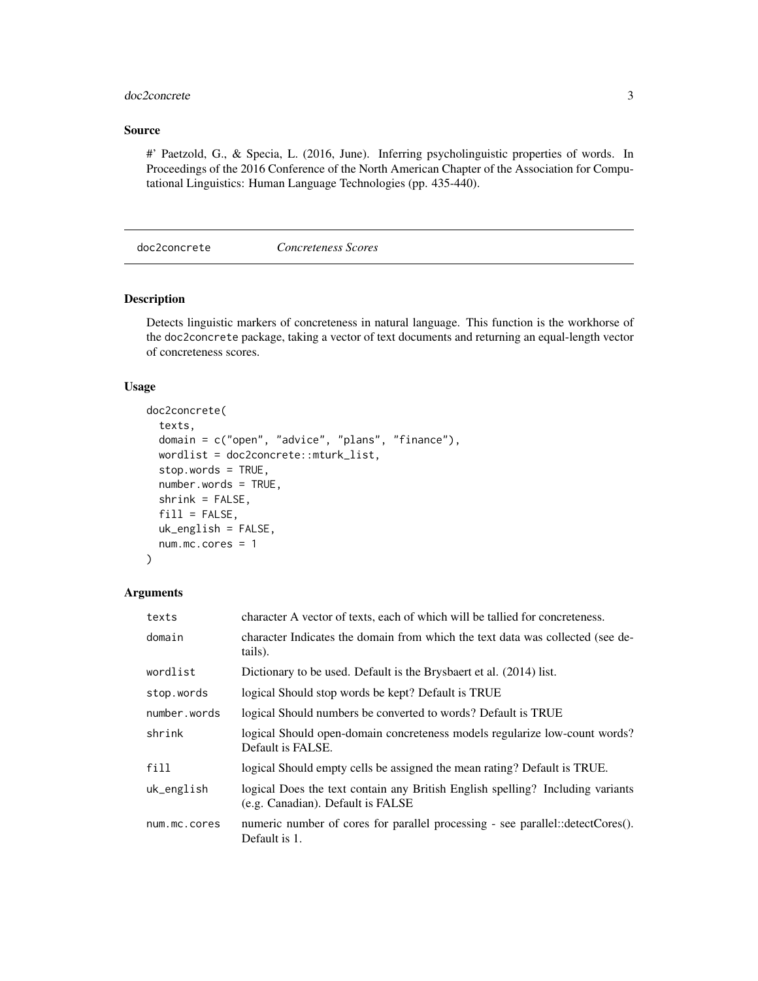#### <span id="page-2-0"></span>doc2concrete 3

#### Source

#' Paetzold, G., & Specia, L. (2016, June). Inferring psycholinguistic properties of words. In Proceedings of the 2016 Conference of the North American Chapter of the Association for Computational Linguistics: Human Language Technologies (pp. 435-440).

doc2concrete *Concreteness Scores*

#### Description

Detects linguistic markers of concreteness in natural language. This function is the workhorse of the doc2concrete package, taking a vector of text documents and returning an equal-length vector of concreteness scores.

#### Usage

```
doc2concrete(
  texts,
  domain = c("open", "advice", "plans", "finance"),
 wordlist = doc2concrete::mturk_list,
  stop.words = TRUE,
  number.words = TRUE,
  shrink = FALSE,fill = FALSE,uk_english = FALSE,
 num.mc.cores = 1
)
```
#### Arguments

| texts        | character A vector of texts, each of which will be tallied for concreteness.                                        |
|--------------|---------------------------------------------------------------------------------------------------------------------|
| domain       | character Indicates the domain from which the text data was collected (see de-<br>tails).                           |
| wordlist     | Dictionary to be used. Default is the Brysbaert et al. (2014) list.                                                 |
| stop.words   | logical Should stop words be kept? Default is TRUE                                                                  |
| number.words | logical Should numbers be converted to words? Default is TRUE                                                       |
| shrink       | logical Should open-domain concreteness models regularize low-count words?<br>Default is FALSE.                     |
| fill         | logical Should empty cells be assigned the mean rating? Default is TRUE.                                            |
| uk_english   | logical Does the text contain any British English spelling? Including variants<br>(e.g. Canadian). Default is FALSE |
| num.mc.cores | numeric number of cores for parallel processing - see parallel::detectCores().<br>Default is 1.                     |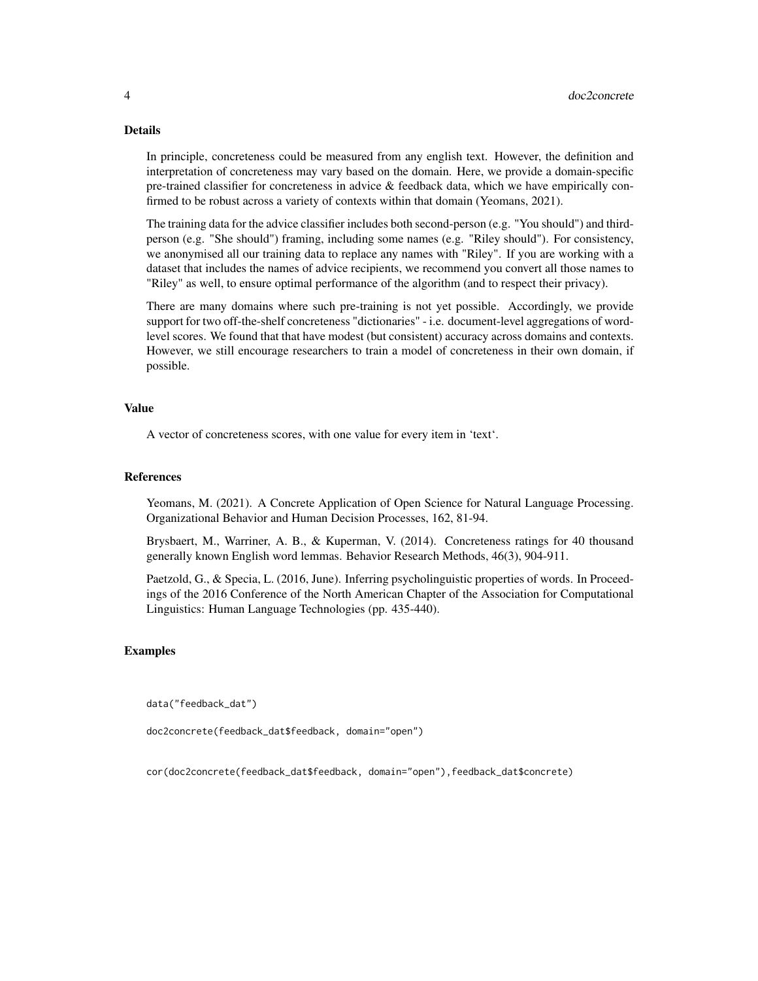#### Details

In principle, concreteness could be measured from any english text. However, the definition and interpretation of concreteness may vary based on the domain. Here, we provide a domain-specific pre-trained classifier for concreteness in advice & feedback data, which we have empirically confirmed to be robust across a variety of contexts within that domain (Yeomans, 2021).

The training data for the advice classifier includes both second-person (e.g. "You should") and thirdperson (e.g. "She should") framing, including some names (e.g. "Riley should"). For consistency, we anonymised all our training data to replace any names with "Riley". If you are working with a dataset that includes the names of advice recipients, we recommend you convert all those names to "Riley" as well, to ensure optimal performance of the algorithm (and to respect their privacy).

There are many domains where such pre-training is not yet possible. Accordingly, we provide support for two off-the-shelf concreteness "dictionaries" - i.e. document-level aggregations of wordlevel scores. We found that that have modest (but consistent) accuracy across domains and contexts. However, we still encourage researchers to train a model of concreteness in their own domain, if possible.

#### Value

A vector of concreteness scores, with one value for every item in 'text'.

#### References

Yeomans, M. (2021). A Concrete Application of Open Science for Natural Language Processing. Organizational Behavior and Human Decision Processes, 162, 81-94.

Brysbaert, M., Warriner, A. B., & Kuperman, V. (2014). Concreteness ratings for 40 thousand generally known English word lemmas. Behavior Research Methods, 46(3), 904-911.

Paetzold, G., & Specia, L. (2016, June). Inferring psycholinguistic properties of words. In Proceedings of the 2016 Conference of the North American Chapter of the Association for Computational Linguistics: Human Language Technologies (pp. 435-440).

#### Examples

data("feedback\_dat")

doc2concrete(feedback\_dat\$feedback, domain="open")

cor(doc2concrete(feedback\_dat\$feedback, domain="open"),feedback\_dat\$concrete)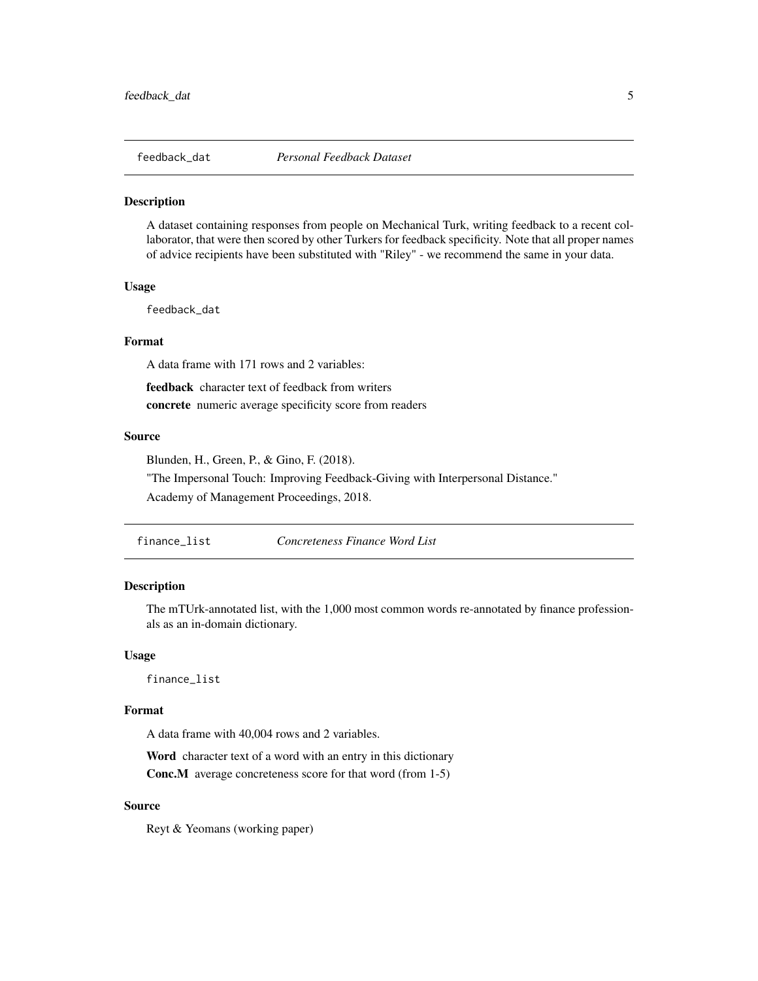<span id="page-4-0"></span>

#### Description

A dataset containing responses from people on Mechanical Turk, writing feedback to a recent collaborator, that were then scored by other Turkers for feedback specificity. Note that all proper names of advice recipients have been substituted with "Riley" - we recommend the same in your data.

#### Usage

feedback\_dat

#### Format

A data frame with 171 rows and 2 variables:

feedback character text of feedback from writers concrete numeric average specificity score from readers

#### Source

Blunden, H., Green, P., & Gino, F. (2018).

"The Impersonal Touch: Improving Feedback-Giving with Interpersonal Distance."

Academy of Management Proceedings, 2018.

| finance list | Concreteness Finance Word List |
|--------------|--------------------------------|
|              |                                |

#### Description

The mTUrk-annotated list, with the 1,000 most common words re-annotated by finance professionals as an in-domain dictionary.

#### Usage

finance\_list

#### Format

A data frame with 40,004 rows and 2 variables.

Word character text of a word with an entry in this dictionary

Conc.M average concreteness score for that word (from 1-5)

#### Source

Reyt & Yeomans (working paper)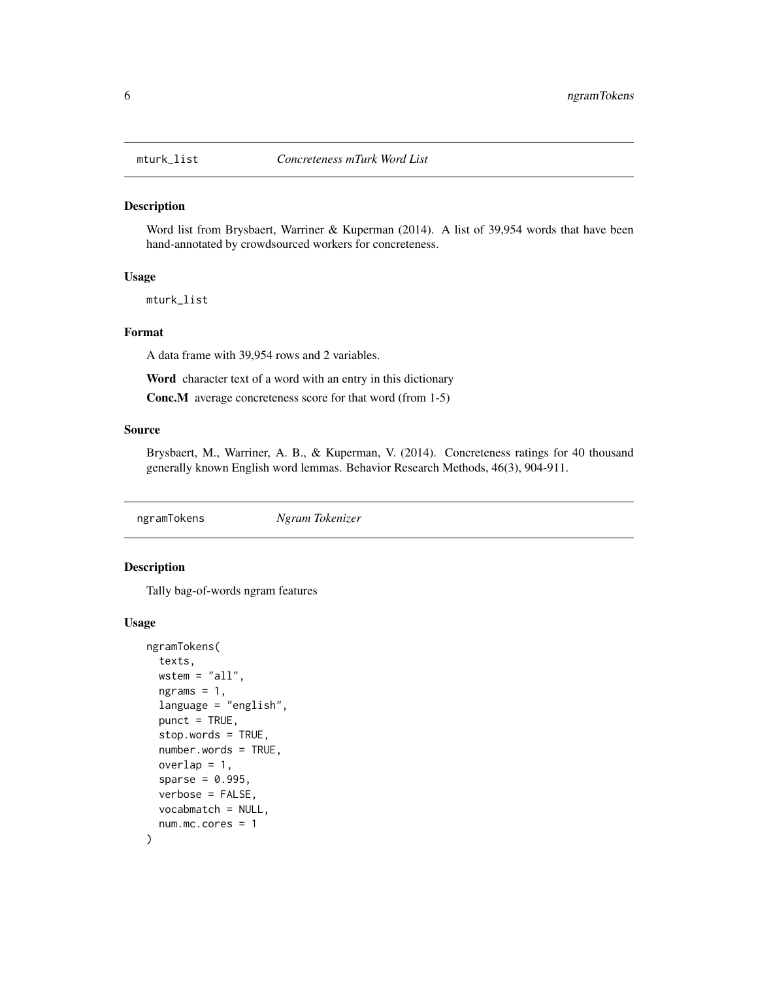<span id="page-5-0"></span>

#### Description

Word list from Brysbaert, Warriner & Kuperman (2014). A list of 39,954 words that have been hand-annotated by crowdsourced workers for concreteness.

#### Usage

mturk\_list

#### Format

A data frame with 39,954 rows and 2 variables.

Word character text of a word with an entry in this dictionary

Conc.M average concreteness score for that word (from 1-5)

#### Source

Brysbaert, M., Warriner, A. B., & Kuperman, V. (2014). Concreteness ratings for 40 thousand generally known English word lemmas. Behavior Research Methods, 46(3), 904-911.

ngramTokens *Ngram Tokenizer*

#### Description

Tally bag-of-words ngram features

#### Usage

```
ngramTokens(
  texts,
 wstem = "all",ngrams = 1,
  language = "english",
 punct = TRUE,stop.words = TRUE,
  number.words = TRUE,
  overlap = 1,
  sparse = 0.995,
  verbose = FALSE,
  vocabmatch = NULL,
  num.mc.cores = 1
)
```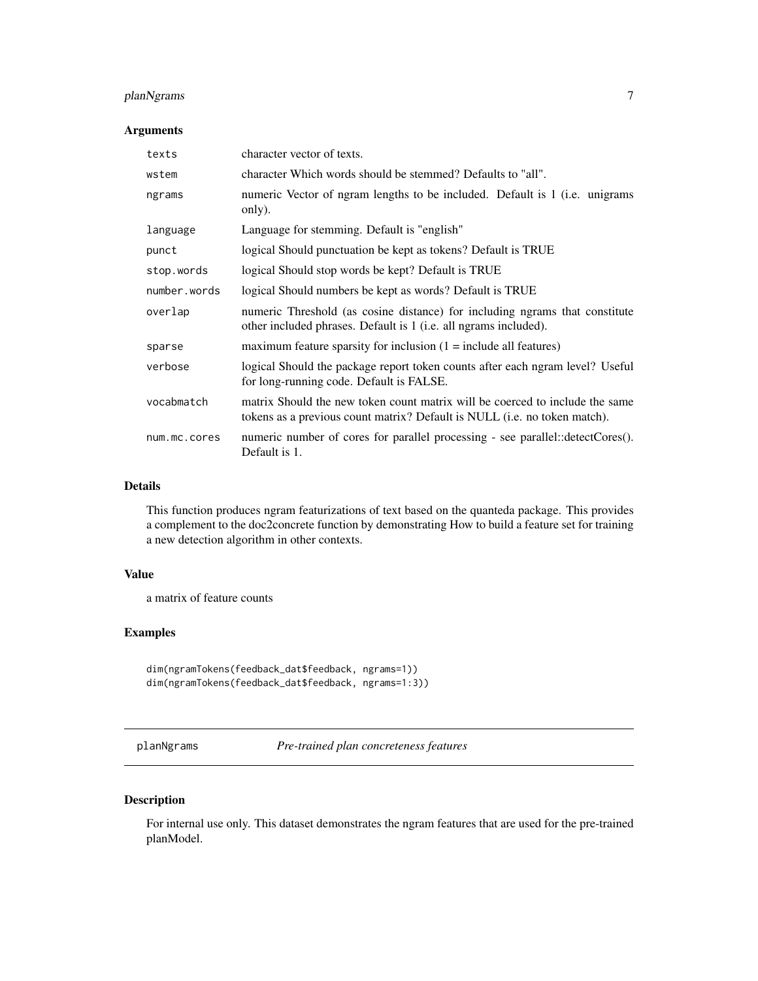#### <span id="page-6-0"></span>planNgrams 7

#### Arguments

| texts        | character vector of texts.                                                                                                                                |
|--------------|-----------------------------------------------------------------------------------------------------------------------------------------------------------|
| wstem        | character Which words should be stemmed? Defaults to "all".                                                                                               |
| ngrams       | numeric Vector of ngram lengths to be included. Default is 1 (i.e. unigrams<br>only).                                                                     |
| language     | Language for stemming. Default is "english"                                                                                                               |
| punct        | logical Should punctuation be kept as tokens? Default is TRUE                                                                                             |
| stop.words   | logical Should stop words be kept? Default is TRUE                                                                                                        |
| number.words | logical Should numbers be kept as words? Default is TRUE                                                                                                  |
| overlap      | numeric Threshold (as cosine distance) for including ngrams that constitute<br>other included phrases. Default is 1 (i.e. all ngrams included).           |
| sparse       | maximum feature sparsity for inclusion $(1 = \text{include all features})$                                                                                |
| verbose      | logical Should the package report token counts after each ngram level? Useful<br>for long-running code. Default is FALSE.                                 |
| vocabmatch   | matrix Should the new token count matrix will be coerced to include the same<br>tokens as a previous count matrix? Default is NULL (i.e. no token match). |
| num.mc.cores | numeric number of cores for parallel processing - see parallel::detectCores().<br>Default is 1.                                                           |

#### Details

This function produces ngram featurizations of text based on the quanteda package. This provides a complement to the doc2concrete function by demonstrating How to build a feature set for training a new detection algorithm in other contexts.

#### Value

a matrix of feature counts

#### Examples

```
dim(ngramTokens(feedback_dat$feedback, ngrams=1))
dim(ngramTokens(feedback_dat$feedback, ngrams=1:3))
```
planNgrams *Pre-trained plan concreteness features*

#### Description

For internal use only. This dataset demonstrates the ngram features that are used for the pre-trained planModel.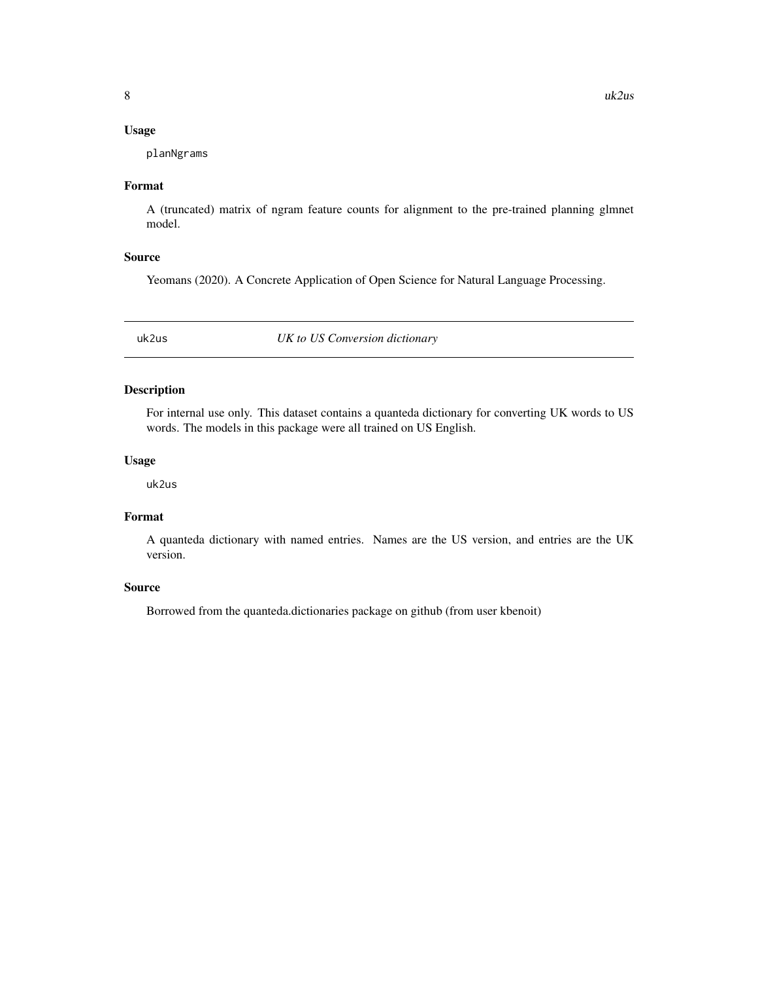#### <span id="page-7-0"></span>Usage

planNgrams

#### Format

A (truncated) matrix of ngram feature counts for alignment to the pre-trained planning glmnet model.

#### Source

Yeomans (2020). A Concrete Application of Open Science for Natural Language Processing.

uk2us *UK to US Conversion dictionary*

#### Description

For internal use only. This dataset contains a quanteda dictionary for converting UK words to US words. The models in this package were all trained on US English.

#### Usage

uk2us

#### Format

A quanteda dictionary with named entries. Names are the US version, and entries are the UK version.

#### Source

Borrowed from the quanteda.dictionaries package on github (from user kbenoit)